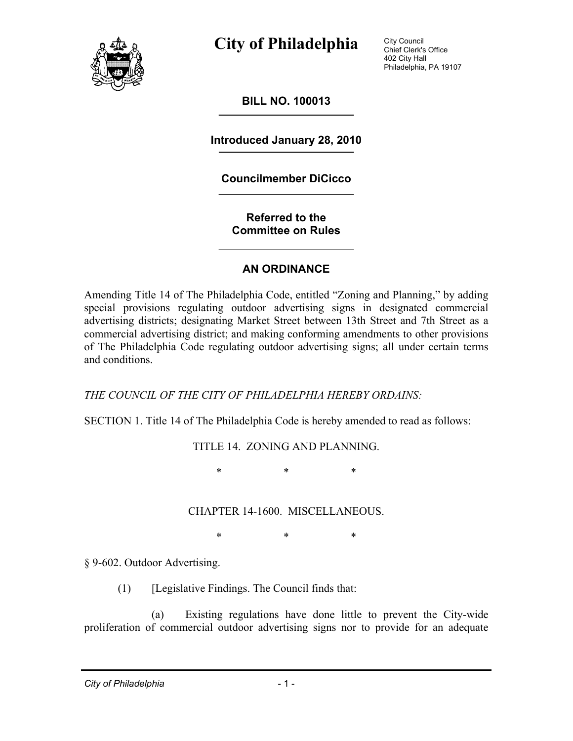

City Council Chief Clerk's Office 402 City Hall Philadelphia, PA 19107

**BILL NO. 100013** 

**Introduced January 28, 2010** 

#### **Councilmember DiCicco**

**Referred to the Committee on Rules** 

#### **AN ORDINANCE**

Amending Title 14 of The Philadelphia Code, entitled "Zoning and Planning," by adding special provisions regulating outdoor advertising signs in designated commercial advertising districts; designating Market Street between 13th Street and 7th Street as a commercial advertising district; and making conforming amendments to other provisions of The Philadelphia Code regulating outdoor advertising signs; all under certain terms and conditions.

#### *THE COUNCIL OF THE CITY OF PHILADELPHIA HEREBY ORDAINS:*

SECTION 1. Title 14 of The Philadelphia Code is hereby amended to read as follows:

TITLE 14. ZONING AND PLANNING.

\* \* \*

CHAPTER 14-1600. MISCELLANEOUS.

\* \* \*

§ 9-602. Outdoor Advertising.

(1) [Legislative Findings. The Council finds that:

 (a) Existing regulations have done little to prevent the City-wide proliferation of commercial outdoor advertising signs nor to provide for an adequate

*City of Philadelphia* - 1 -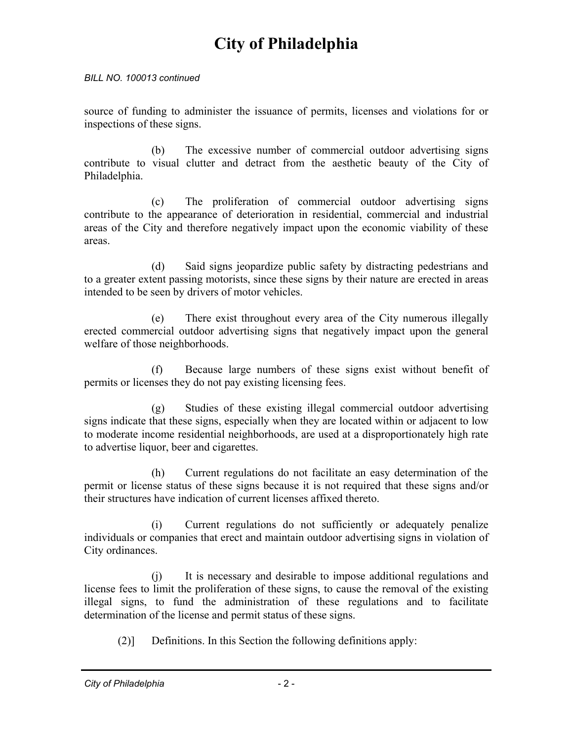#### *BILL NO. 100013 continued*

source of funding to administer the issuance of permits, licenses and violations for or inspections of these signs.

 (b) The excessive number of commercial outdoor advertising signs contribute to visual clutter and detract from the aesthetic beauty of the City of Philadelphia.

 (c) The proliferation of commercial outdoor advertising signs contribute to the appearance of deterioration in residential, commercial and industrial areas of the City and therefore negatively impact upon the economic viability of these areas.

 (d) Said signs jeopardize public safety by distracting pedestrians and to a greater extent passing motorists, since these signs by their nature are erected in areas intended to be seen by drivers of motor vehicles.

 (e) There exist throughout every area of the City numerous illegally erected commercial outdoor advertising signs that negatively impact upon the general welfare of those neighborhoods.

 (f) Because large numbers of these signs exist without benefit of permits or licenses they do not pay existing licensing fees.

 (g) Studies of these existing illegal commercial outdoor advertising signs indicate that these signs, especially when they are located within or adjacent to low to moderate income residential neighborhoods, are used at a disproportionately high rate to advertise liquor, beer and cigarettes.

 (h) Current regulations do not facilitate an easy determination of the permit or license status of these signs because it is not required that these signs and/or their structures have indication of current licenses affixed thereto.

 (i) Current regulations do not sufficiently or adequately penalize individuals or companies that erect and maintain outdoor advertising signs in violation of City ordinances.

 (j) It is necessary and desirable to impose additional regulations and license fees to limit the proliferation of these signs, to cause the removal of the existing illegal signs, to fund the administration of these regulations and to facilitate determination of the license and permit status of these signs.

(2)] Definitions. In this Section the following definitions apply: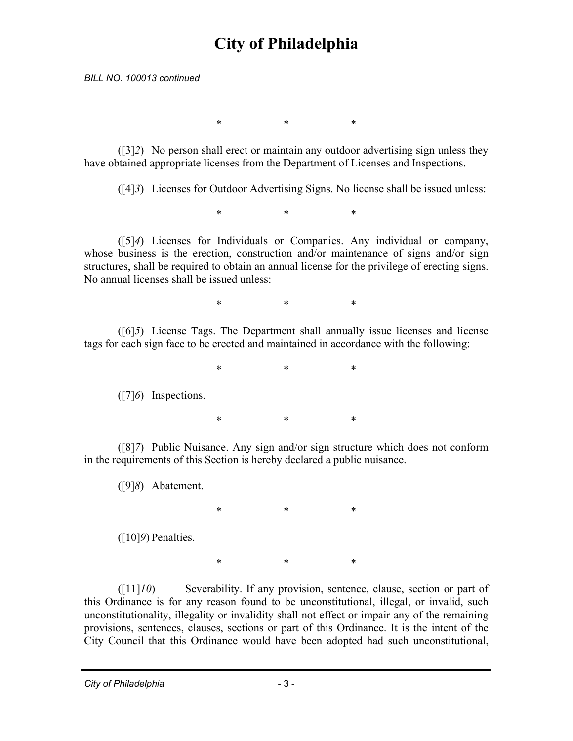*BILL NO. 100013 continued* 

\* \* \*

 ([3]*2*) No person shall erect or maintain any outdoor advertising sign unless they have obtained appropriate licenses from the Department of Licenses and Inspections.

([4]*3*) Licenses for Outdoor Advertising Signs. No license shall be issued unless:

\* \* \*

 ([5]*4*) Licenses for Individuals or Companies. Any individual or company, whose business is the erection, construction and/or maintenance of signs and/or sign structures, shall be required to obtain an annual license for the privilege of erecting signs. No annual licenses shall be issued unless:

\* \* \*

 ([6]*5*) License Tags. The Department shall annually issue licenses and license tags for each sign face to be erected and maintained in accordance with the following:

\* \* \*

([7]*6*) Inspections.

\* \* \*

 ([8]*7*) Public Nuisance. Any sign and/or sign structure which does not conform in the requirements of this Section is hereby declared a public nuisance.

([9]*8*) Abatement.

\* \* \* ([10]*9*) Penalties.

 ([11]*10*) Severability. If any provision, sentence, clause, section or part of this Ordinance is for any reason found to be unconstitutional, illegal, or invalid, such unconstitutionality, illegality or invalidity shall not effect or impair any of the remaining provisions, sentences, clauses, sections or part of this Ordinance. It is the intent of the City Council that this Ordinance would have been adopted had such unconstitutional,

\* \* \*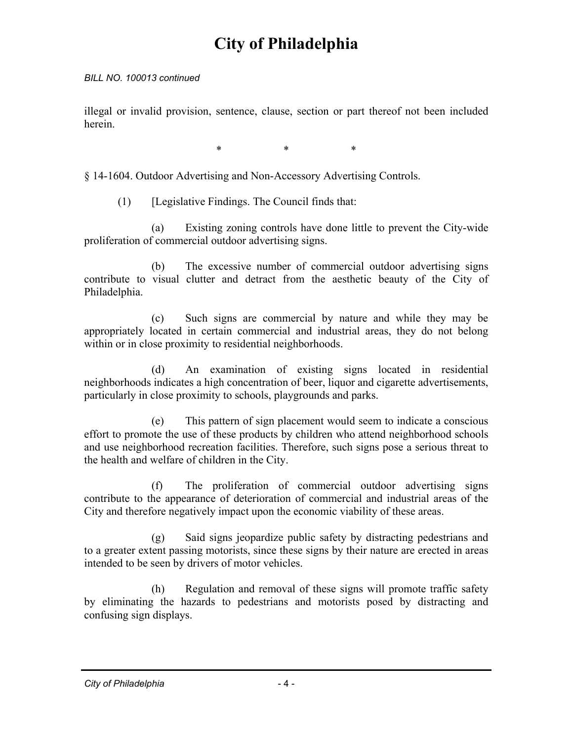#### *BILL NO. 100013 continued*

illegal or invalid provision, sentence, clause, section or part thereof not been included herein.

\* \* \*

§ 14-1604. Outdoor Advertising and Non-Accessory Advertising Controls.

(1) [Legislative Findings. The Council finds that:

 (a) Existing zoning controls have done little to prevent the City-wide proliferation of commercial outdoor advertising signs.

 (b) The excessive number of commercial outdoor advertising signs contribute to visual clutter and detract from the aesthetic beauty of the City of Philadelphia.

 (c) Such signs are commercial by nature and while they may be appropriately located in certain commercial and industrial areas, they do not belong within or in close proximity to residential neighborhoods.

 (d) An examination of existing signs located in residential neighborhoods indicates a high concentration of beer, liquor and cigarette advertisements, particularly in close proximity to schools, playgrounds and parks.

 (e) This pattern of sign placement would seem to indicate a conscious effort to promote the use of these products by children who attend neighborhood schools and use neighborhood recreation facilities. Therefore, such signs pose a serious threat to the health and welfare of children in the City.

 (f) The proliferation of commercial outdoor advertising signs contribute to the appearance of deterioration of commercial and industrial areas of the City and therefore negatively impact upon the economic viability of these areas.

 (g) Said signs jeopardize public safety by distracting pedestrians and to a greater extent passing motorists, since these signs by their nature are erected in areas intended to be seen by drivers of motor vehicles.

 (h) Regulation and removal of these signs will promote traffic safety by eliminating the hazards to pedestrians and motorists posed by distracting and confusing sign displays.

*City of Philadelphia* - 4 -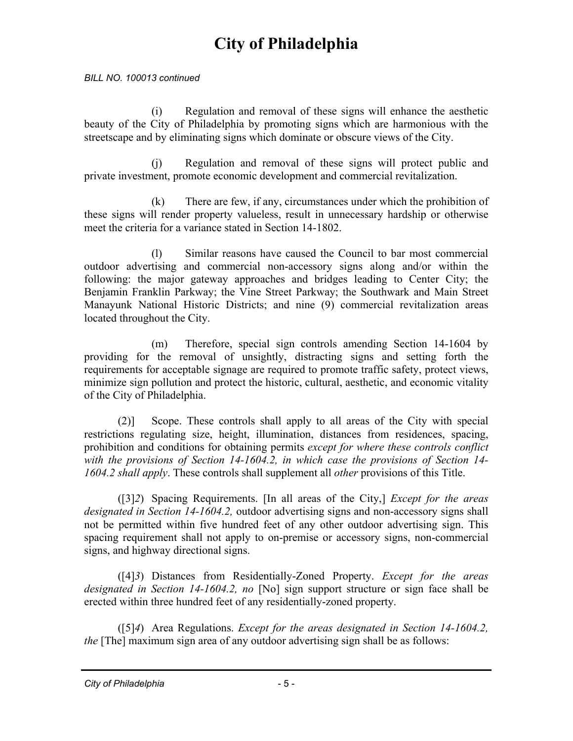#### *BILL NO. 100013 continued*

 (i) Regulation and removal of these signs will enhance the aesthetic beauty of the City of Philadelphia by promoting signs which are harmonious with the streetscape and by eliminating signs which dominate or obscure views of the City.

 (j) Regulation and removal of these signs will protect public and private investment, promote economic development and commercial revitalization.

 (k) There are few, if any, circumstances under which the prohibition of these signs will render property valueless, result in unnecessary hardship or otherwise meet the criteria for a variance stated in Section 14-1802.

 (l) Similar reasons have caused the Council to bar most commercial outdoor advertising and commercial non-accessory signs along and/or within the following: the major gateway approaches and bridges leading to Center City; the Benjamin Franklin Parkway; the Vine Street Parkway; the Southwark and Main Street Manayunk National Historic Districts; and nine (9) commercial revitalization areas located throughout the City.

 (m) Therefore, special sign controls amending Section 14-1604 by providing for the removal of unsightly, distracting signs and setting forth the requirements for acceptable signage are required to promote traffic safety, protect views, minimize sign pollution and protect the historic, cultural, aesthetic, and economic vitality of the City of Philadelphia.

 (2)] Scope. These controls shall apply to all areas of the City with special restrictions regulating size, height, illumination, distances from residences, spacing, prohibition and conditions for obtaining permits *except for where these controls conflict with the provisions of Section 14-1604.2, in which case the provisions of Section 14- 1604.2 shall apply*. These controls shall supplement all *other* provisions of this Title.

 ([3]*2*) Spacing Requirements. [In all areas of the City,] *Except for the areas designated in Section 14-1604.2,* outdoor advertising signs and non-accessory signs shall not be permitted within five hundred feet of any other outdoor advertising sign. This spacing requirement shall not apply to on-premise or accessory signs, non-commercial signs, and highway directional signs.

 ([4]*3*) Distances from Residentially-Zoned Property. *Except for the areas designated in Section 14-1604.2, no* [No] sign support structure or sign face shall be erected within three hundred feet of any residentially-zoned property.

 ([5]*4*) Area Regulations. *Except for the areas designated in Section 14-1604.2, the* [The] maximum sign area of any outdoor advertising sign shall be as follows: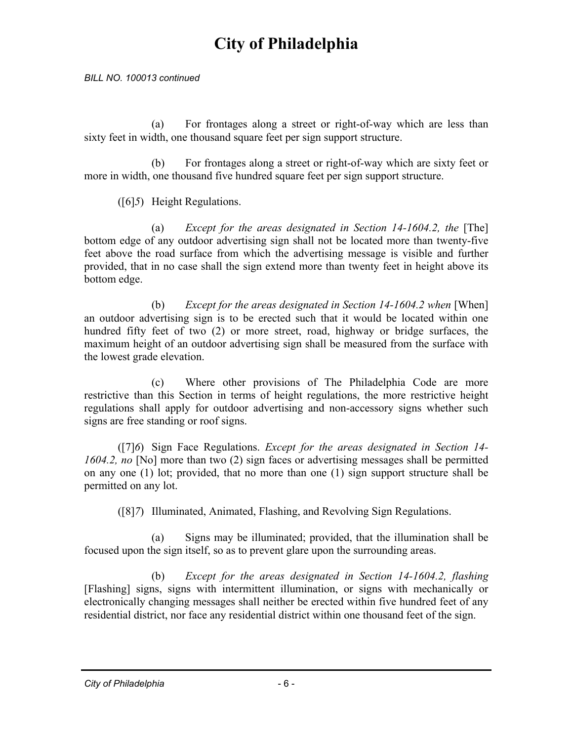*BILL NO. 100013 continued* 

 (a) For frontages along a street or right-of-way which are less than sixty feet in width, one thousand square feet per sign support structure.

 (b) For frontages along a street or right-of-way which are sixty feet or more in width, one thousand five hundred square feet per sign support structure.

([6]*5*) Height Regulations.

(a) *Except for the areas designated in Section 14-1604.2, the* [The] bottom edge of any outdoor advertising sign shall not be located more than twenty-five feet above the road surface from which the advertising message is visible and further provided, that in no case shall the sign extend more than twenty feet in height above its bottom edge.

(b) *Except for the areas designated in Section 14-1604.2 when* [When] an outdoor advertising sign is to be erected such that it would be located within one hundred fifty feet of two (2) or more street, road, highway or bridge surfaces, the maximum height of an outdoor advertising sign shall be measured from the surface with the lowest grade elevation.

 (c) Where other provisions of The Philadelphia Code are more restrictive than this Section in terms of height regulations, the more restrictive height regulations shall apply for outdoor advertising and non-accessory signs whether such signs are free standing or roof signs.

 ([7]*6*) Sign Face Regulations. *Except for the areas designated in Section 14- 1604.2, no* [No] more than two (2) sign faces or advertising messages shall be permitted on any one (1) lot; provided, that no more than one (1) sign support structure shall be permitted on any lot.

([8]*7*) Illuminated, Animated, Flashing, and Revolving Sign Regulations.

 (a) Signs may be illuminated; provided, that the illumination shall be focused upon the sign itself, so as to prevent glare upon the surrounding areas.

 (b) *Except for the areas designated in Section 14-1604.2, flashing*  [Flashing] signs, signs with intermittent illumination, or signs with mechanically or electronically changing messages shall neither be erected within five hundred feet of any residential district, nor face any residential district within one thousand feet of the sign.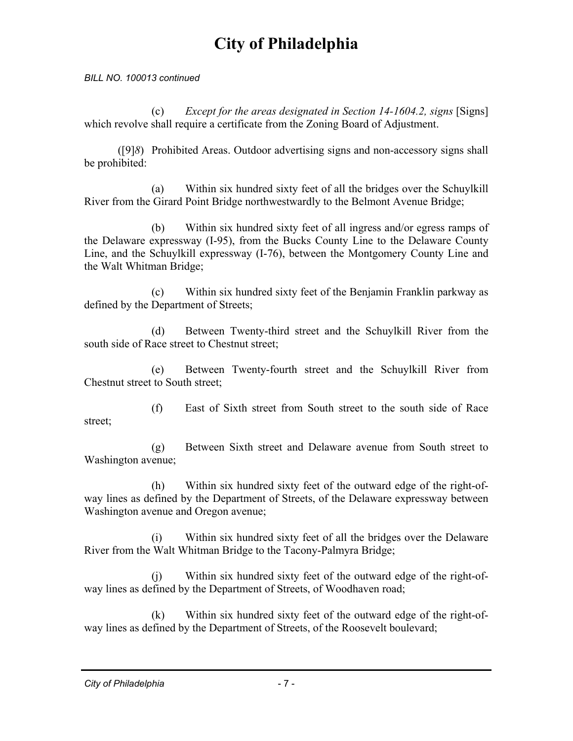*BILL NO. 100013 continued* 

 (c) *Except for the areas designated in Section 14-1604.2, signs* [Signs] which revolve shall require a certificate from the Zoning Board of Adjustment.

 ([9]*8*) Prohibited Areas. Outdoor advertising signs and non-accessory signs shall be prohibited:

 (a) Within six hundred sixty feet of all the bridges over the Schuylkill River from the Girard Point Bridge northwestwardly to the Belmont Avenue Bridge;

 (b) Within six hundred sixty feet of all ingress and/or egress ramps of the Delaware expressway (I-95), from the Bucks County Line to the Delaware County Line, and the Schuylkill expressway (I-76), between the Montgomery County Line and the Walt Whitman Bridge;

 (c) Within six hundred sixty feet of the Benjamin Franklin parkway as defined by the Department of Streets;

 (d) Between Twenty-third street and the Schuylkill River from the south side of Race street to Chestnut street;

 (e) Between Twenty-fourth street and the Schuylkill River from Chestnut street to South street;

 (f) East of Sixth street from South street to the south side of Race street;

 (g) Between Sixth street and Delaware avenue from South street to Washington avenue;

 (h) Within six hundred sixty feet of the outward edge of the right-ofway lines as defined by the Department of Streets, of the Delaware expressway between Washington avenue and Oregon avenue;

 (i) Within six hundred sixty feet of all the bridges over the Delaware River from the Walt Whitman Bridge to the Tacony-Palmyra Bridge;

 (j) Within six hundred sixty feet of the outward edge of the right-ofway lines as defined by the Department of Streets, of Woodhaven road;

 (k) Within six hundred sixty feet of the outward edge of the right-ofway lines as defined by the Department of Streets, of the Roosevelt boulevard;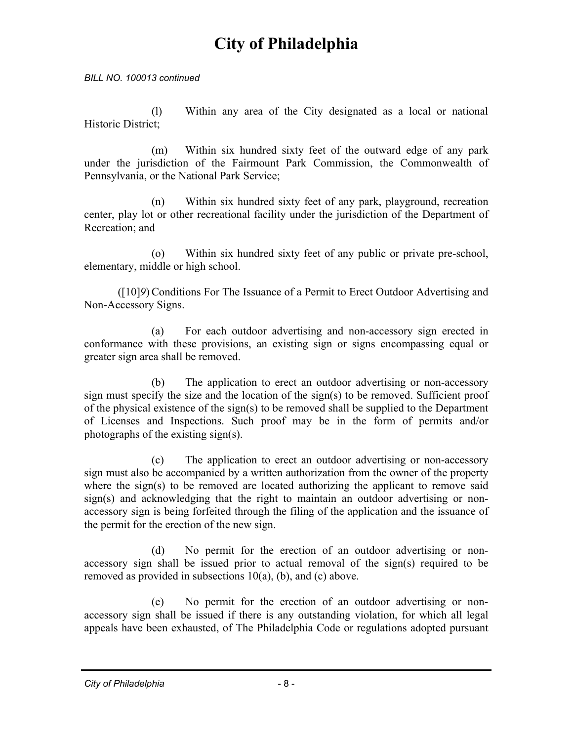*BILL NO. 100013 continued* 

 (l) Within any area of the City designated as a local or national Historic District;

 (m) Within six hundred sixty feet of the outward edge of any park under the jurisdiction of the Fairmount Park Commission, the Commonwealth of Pennsylvania, or the National Park Service;

 (n) Within six hundred sixty feet of any park, playground, recreation center, play lot or other recreational facility under the jurisdiction of the Department of Recreation; and

 (o) Within six hundred sixty feet of any public or private pre-school, elementary, middle or high school.

 ([10]*9*) Conditions For The Issuance of a Permit to Erect Outdoor Advertising and Non-Accessory Signs.

 (a) For each outdoor advertising and non-accessory sign erected in conformance with these provisions, an existing sign or signs encompassing equal or greater sign area shall be removed.

 (b) The application to erect an outdoor advertising or non-accessory sign must specify the size and the location of the sign(s) to be removed. Sufficient proof of the physical existence of the sign(s) to be removed shall be supplied to the Department of Licenses and Inspections. Such proof may be in the form of permits and/or photographs of the existing sign(s).

 (c) The application to erect an outdoor advertising or non-accessory sign must also be accompanied by a written authorization from the owner of the property where the sign(s) to be removed are located authorizing the applicant to remove said sign(s) and acknowledging that the right to maintain an outdoor advertising or nonaccessory sign is being forfeited through the filing of the application and the issuance of the permit for the erection of the new sign.

 (d) No permit for the erection of an outdoor advertising or nonaccessory sign shall be issued prior to actual removal of the sign(s) required to be removed as provided in subsections 10(a), (b), and (c) above.

 (e) No permit for the erection of an outdoor advertising or nonaccessory sign shall be issued if there is any outstanding violation, for which all legal appeals have been exhausted, of The Philadelphia Code or regulations adopted pursuant

*City of Philadelphia* - 8 -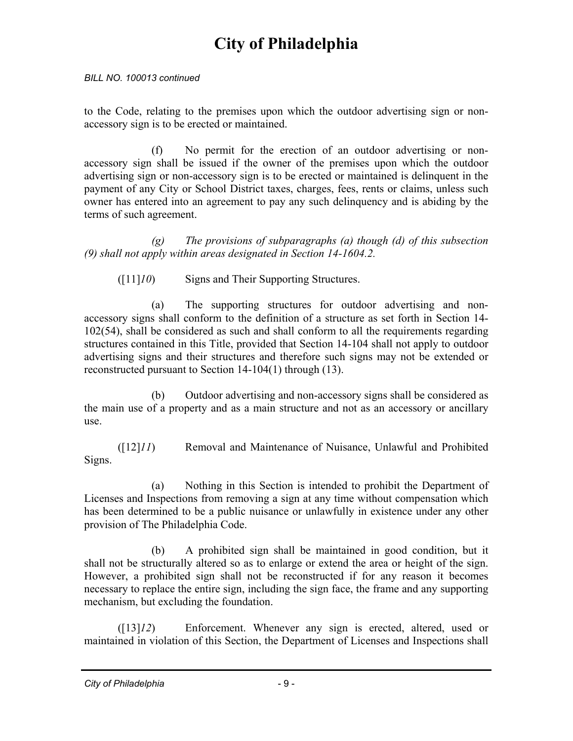#### *BILL NO. 100013 continued*

to the Code, relating to the premises upon which the outdoor advertising sign or nonaccessory sign is to be erected or maintained.

 (f) No permit for the erection of an outdoor advertising or nonaccessory sign shall be issued if the owner of the premises upon which the outdoor advertising sign or non-accessory sign is to be erected or maintained is delinquent in the payment of any City or School District taxes, charges, fees, rents or claims, unless such owner has entered into an agreement to pay any such delinquency and is abiding by the terms of such agreement.

 *(g) The provisions of subparagraphs (a) though (d) of this subsection (9) shall not apply within areas designated in Section 14-1604.2.* 

([11]*10*) Signs and Their Supporting Structures.

 (a) The supporting structures for outdoor advertising and nonaccessory signs shall conform to the definition of a structure as set forth in Section 14- 102(54), shall be considered as such and shall conform to all the requirements regarding structures contained in this Title, provided that Section 14-104 shall not apply to outdoor advertising signs and their structures and therefore such signs may not be extended or reconstructed pursuant to Section 14-104(1) through (13).

 (b) Outdoor advertising and non-accessory signs shall be considered as the main use of a property and as a main structure and not as an accessory or ancillary use.

 ([12]*11*) Removal and Maintenance of Nuisance, Unlawful and Prohibited Signs.

 (a) Nothing in this Section is intended to prohibit the Department of Licenses and Inspections from removing a sign at any time without compensation which has been determined to be a public nuisance or unlawfully in existence under any other provision of The Philadelphia Code.

 (b) A prohibited sign shall be maintained in good condition, but it shall not be structurally altered so as to enlarge or extend the area or height of the sign. However, a prohibited sign shall not be reconstructed if for any reason it becomes necessary to replace the entire sign, including the sign face, the frame and any supporting mechanism, but excluding the foundation.

 ([13]*12*) Enforcement. Whenever any sign is erected, altered, used or maintained in violation of this Section, the Department of Licenses and Inspections shall

*City of Philadelphia* - 9 -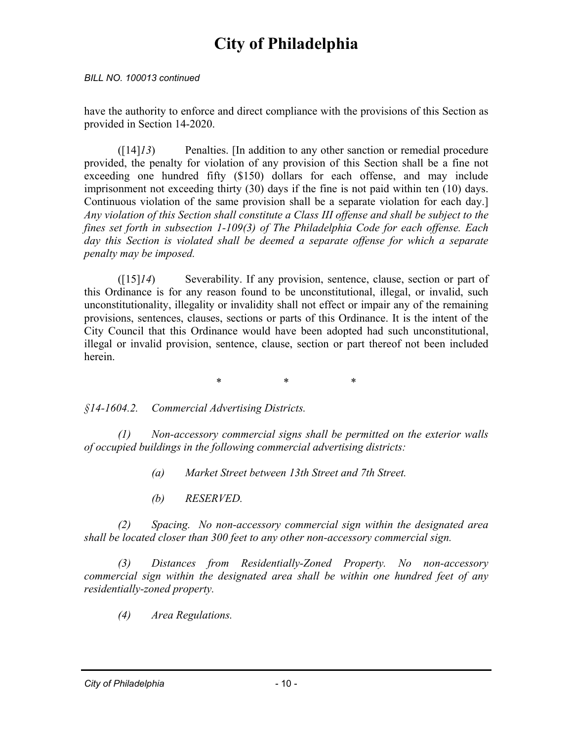#### *BILL NO. 100013 continued*

have the authority to enforce and direct compliance with the provisions of this Section as provided in Section 14-2020.

 ([14]*13*) Penalties. [In addition to any other sanction or remedial procedure provided, the penalty for violation of any provision of this Section shall be a fine not exceeding one hundred fifty (\$150) dollars for each offense, and may include imprisonment not exceeding thirty (30) days if the fine is not paid within ten (10) days. Continuous violation of the same provision shall be a separate violation for each day.] *Any violation of this Section shall constitute a Class III offense and shall be subject to the fines set forth in subsection 1-109(3) of The Philadelphia Code for each offense. Each*  day this Section is violated shall be deemed a separate offense for which a separate *penalty may be imposed.*

 ([15]*14*) Severability. If any provision, sentence, clause, section or part of this Ordinance is for any reason found to be unconstitutional, illegal, or invalid, such unconstitutionality, illegality or invalidity shall not effect or impair any of the remaining provisions, sentences, clauses, sections or parts of this Ordinance. It is the intent of the City Council that this Ordinance would have been adopted had such unconstitutional, illegal or invalid provision, sentence, clause, section or part thereof not been included herein.

\* \* \*

*§14-1604.2. Commercial Advertising Districts.* 

 *(1) Non-accessory commercial signs shall be permitted on the exterior walls of occupied buildings in the following commercial advertising districts:* 

 *(a) Market Street between 13th Street and 7th Street.* 

 *(b) RESERVED.* 

*(2) Spacing. No non-accessory commercial sign within the designated area shall be located closer than 300 feet to any other non-accessory commercial sign.* 

*(3) Distances from Residentially-Zoned Property. No non-accessory commercial sign within the designated area shall be within one hundred feet of any residentially-zoned property.* 

*(4) Area Regulations.*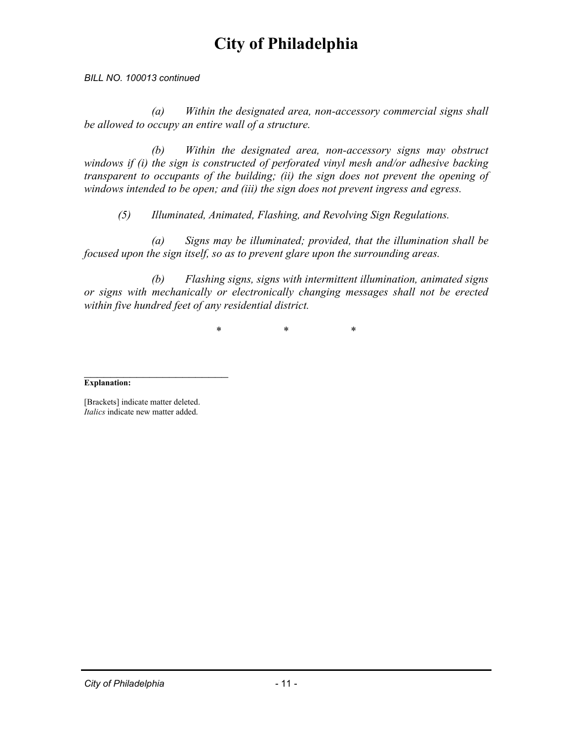*BILL NO. 100013 continued* 

*(a) Within the designated area, non-accessory commercial signs shall be allowed to occupy an entire wall of a structure.* 

*(b) Within the designated area, non-accessory signs may obstruct windows if (i) the sign is constructed of perforated vinyl mesh and/or adhesive backing transparent to occupants of the building; (ii) the sign does not prevent the opening of windows intended to be open; and (iii) the sign does not prevent ingress and egress.* 

 *(5) Illuminated, Animated, Flashing, and Revolving Sign Regulations.* 

 *(a) Signs may be illuminated; provided, that the illumination shall be focused upon the sign itself, so as to prevent glare upon the surrounding areas.* 

 *(b) Flashing signs, signs with intermittent illumination, animated signs or signs with mechanically or electronically changing messages shall not be erected within five hundred feet of any residential district.* 

\* \* \*

#### $\overline{\phantom{a}}$  , where  $\overline{\phantom{a}}$ **Explanation:**

[Brackets] indicate matter deleted. *Italics* indicate new matter added.